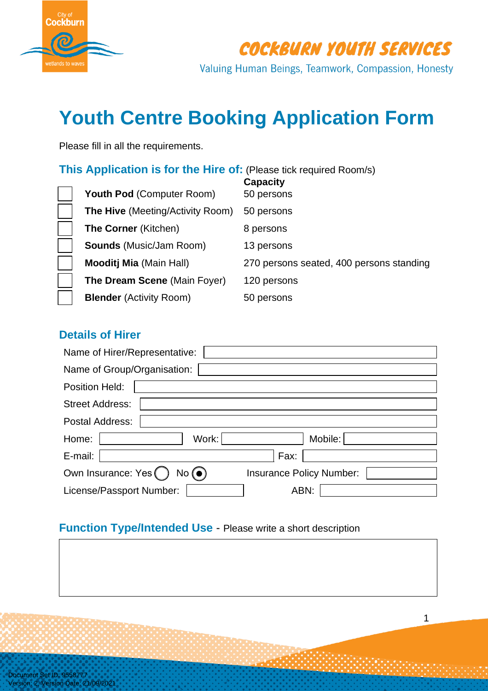

COCKBURN YOUTH SERVICES

Valuing Human Beings, Teamwork, Compassion, Honesty

# **Youth Centre Booking Application Form**

Please fill in all the requirements.

### **This Application is for the Hire of:** (Please tick required Room/s)

| <b>Youth Pod (Computer Room)</b>        | <b>Capacity</b><br>50 persons            |
|-----------------------------------------|------------------------------------------|
| <b>The Hive (Meeting/Activity Room)</b> | 50 persons                               |
| <b>The Corner (Kitchen)</b>             | 8 persons                                |
| <b>Sounds</b> (Music/Jam Room)          | 13 persons                               |
| <b>Mooditj Mia (Main Hall)</b>          | 270 persons seated, 400 persons standing |
| <b>The Dream Scene (Main Foyer)</b>     | 120 persons                              |
| <b>Blender (Activity Room)</b>          | 50 persons                               |

#### **Details of Hirer**

| Name of Hirer/Representative:       |                                 |  |  |  |
|-------------------------------------|---------------------------------|--|--|--|
| Name of Group/Organisation:         |                                 |  |  |  |
| Position Held:                      |                                 |  |  |  |
| <b>Street Address:</b>              |                                 |  |  |  |
| Postal Address:                     |                                 |  |  |  |
| Work:<br>Home:                      | Mobile:                         |  |  |  |
| E-mail:                             | Fax:                            |  |  |  |
| Own Insurance: Yes $\bigcap$<br>No( | <b>Insurance Policy Number:</b> |  |  |  |
| License/Passport Number:            | ABN:                            |  |  |  |

#### **Function Type/Intended Use** - Please write a short description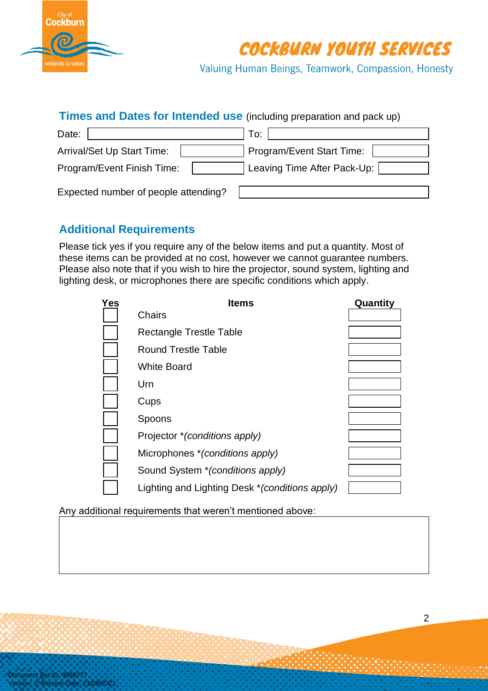

**COCKBURN YOUTH SERVICES** 

Valuing Human Beings, Teamwork, Compassion, Honesty

#### **Times and Dates for Intended use** (including preparation and pack up)

| Date:                                | To:                         |
|--------------------------------------|-----------------------------|
| <b>Arrival/Set Up Start Time:</b>    | Program/Event Start Time:   |
| Program/Event Finish Time:           | Leaving Time After Pack-Up: |
| Expected number of people attending? |                             |

#### **Additional Requirements**

Please tick yes if you require any of the below items and put a quantity. Most of these items can be provided at no cost, however we cannot guarantee numbers. Please also note that if you wish to hire the projector, sound system, lighting and lighting desk, or microphones there are specific conditions which apply.

| <b>Yes</b> | <b>Items</b>                                    | Quantity |
|------------|-------------------------------------------------|----------|
|            | <b>Chairs</b>                                   |          |
|            | Rectangle Trestle Table                         |          |
|            | <b>Round Trestle Table</b>                      |          |
|            | <b>White Board</b>                              |          |
|            | Urn                                             |          |
|            | Cups                                            |          |
|            | Spoons                                          |          |
|            | Projector * (conditions apply)                  |          |
|            | Microphones * (conditions apply)                |          |
|            | Sound System * (conditions apply)               |          |
|            | Lighting and Lighting Desk * (conditions apply) |          |

Any additional requirements that weren't mentioned above: